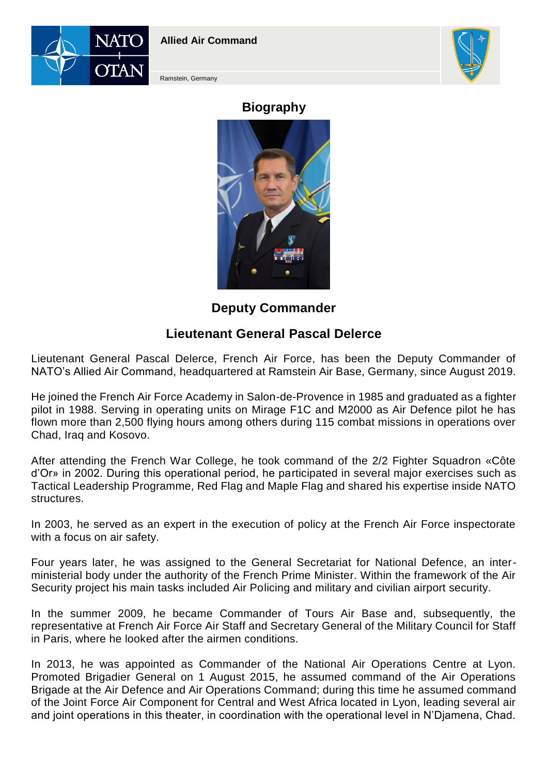



Ramstein, Germany

## **Biography**



## **Deputy Commander**

## **Lieutenant General Pascal Delerce**

Lieutenant General Pascal Delerce, French Air Force, has been the Deputy Commander of NATO's Allied Air Command, headquartered at Ramstein Air Base, Germany, since August 2019.

He joined the French Air Force Academy in Salon-de-Provence in 1985 and graduated as a fighter pilot in 1988. Serving in operating units on Mirage F1C and M2000 as Air Defence pilot he has flown more than 2,500 flying hours among others during 115 combat missions in operations over Chad, Iraq and Kosovo.

After attending the French War College, he took command of the 2/2 Fighter Squadron «Côte d'Or» in 2002. During this operational period, he participated in several major exercises such as Tactical Leadership Programme, Red Flag and Maple Flag and shared his expertise inside NATO structures.

In 2003, he served as an expert in the execution of policy at the French Air Force inspectorate with a focus on air safety.

Four years later, he was assigned to the General Secretariat for National Defence, an interministerial body under the authority of the French Prime Minister. Within the framework of the Air Security project his main tasks included Air Policing and military and civilian airport security.

In the summer 2009, he became Commander of Tours Air Base and, subsequently, the representative at French Air Force Air Staff and Secretary General of the Military Council for Staff in Paris, where he looked after the airmen conditions.

In 2013, he was appointed as Commander of the National Air Operations Centre at Lyon. Promoted Brigadier General on 1 August 2015, he assumed command of the Air Operations Brigade at the Air Defence and Air Operations Command; during this time he assumed command of the Joint Force Air Component for Central and West Africa located in Lyon, leading several air and joint operations in this theater, in coordination with the operational level in N'Djamena, Chad.